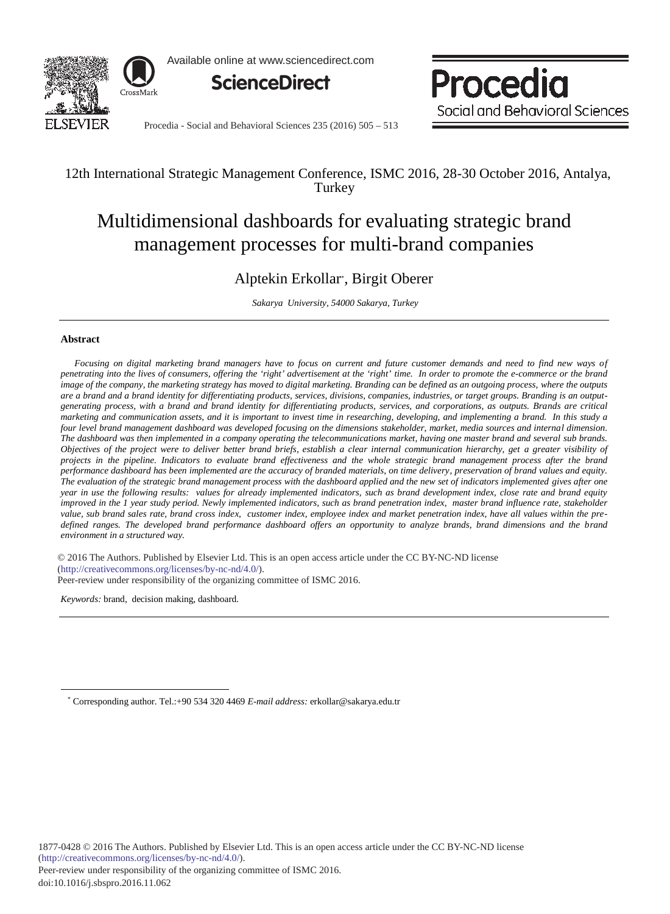

Available online at www.sciencedirect.com



Procedia Social and Behavioral Sciences

Procedia - Social and Behavioral Sciences 235 (2016) 505 – 513

# 12th International Strategic Management Conference, ISMC 2016, 28-30 October 2016, Antalya, Turkey

# Multidimensional dashboards for evaluating strategic brand management processes for multi-brand companies

# Alptekin Erkollar\* , Birgit Oberer

*Sakarya University, 54000 Sakarya, Turkey*

# **Abstract**

 $\overline{a}$ 

*Focusing on digital marketing brand managers have to focus on current and future customer demands and need to find new ways of penetrating into the lives of consumers, offering the 'right' advertisement at the 'right' time. In order to promote the e-commerce or the brand image of the company, the marketing strategy has moved to digital marketing. Branding can be defined as an outgoing process, where the outputs are a brand and a brand identity for differentiating products, services, divisions, companies, industries, or target groups. Branding is an outputgenerating process, with a brand and brand identity for differentiating products, services, and corporations, as outputs. Brands are critical marketing and communication assets, and it is important to invest time in researching, developing, and implementing a brand. In this study a four level brand management dashboard was developed focusing on the dimensions stakeholder, market, media sources and internal dimension. The dashboard was then implemented in a company operating the telecommunications market, having one master brand and several sub brands. Objectives of the project were to deliver better brand briefs, establish a clear internal communication hierarchy, get a greater visibility of projects in the pipeline. Indicators to evaluate brand effectiveness and the whole strategic brand management process after the brand performance dashboard has been implemented are the accuracy of branded materials, on time delivery, preservation of brand values and equity. The evaluation of the strategic brand management process with the dashboard applied and the new set of indicators implemented gives after one year in use the following results: values for already implemented indicators, such as brand development index, close rate and brand equity improved in the 1 year study period. Newly implemented indicators, such as brand penetration index, master brand influence rate, stakeholder value, sub brand sales rate, brand cross index, customer index, employee index and market penetration index, have all values within the pre*defined ranges. The developed brand performance dashboard offers an opportunity to analyze brands, brand dimensions and the brand *environment in a structured way.*

© 2016 The Authors. Published by Elsevier Ltd. © 2016 The Authors. Published by Elsevier Ltd. This is an open access article under the CC BY-NC-ND license Peer-review under responsibility of the organizing committee of ISMC 2016. Peer-review under responsibility of the organizing committee of ISMC 2016.(http://creativecommons.org/licenses/by-nc-nd/4.0/).

*Keywords:* brand, decision making, dashboard.

\* Corresponding author. Tel.:+90 534 320 4469 *E-mail address:* erkollar@sakarya.edu.tr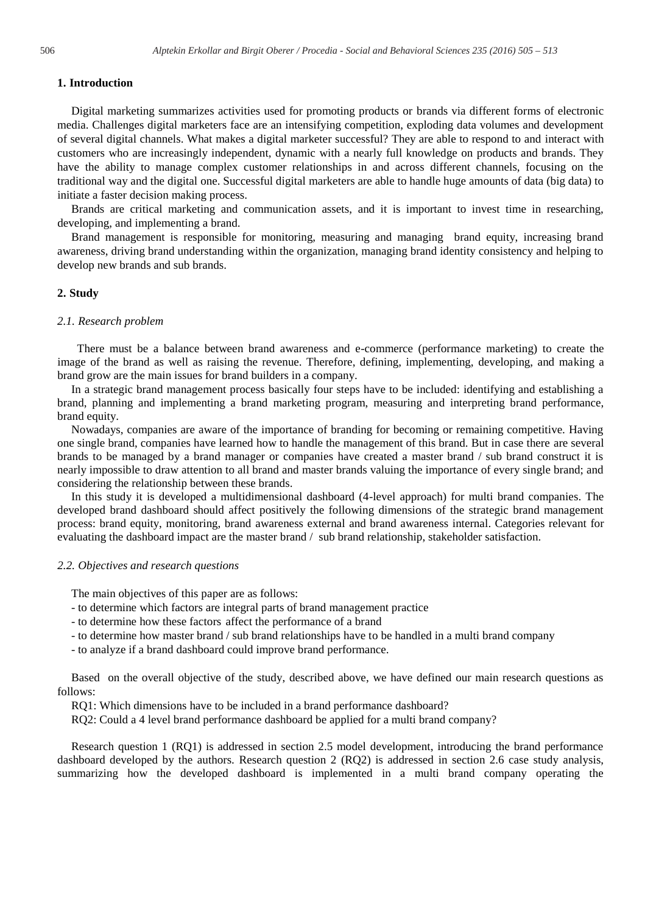# **1. Introduction**

Digital marketing summarizes activities used for promoting products or brands via different forms of electronic media. Challenges digital marketers face are an intensifying competition, exploding data volumes and development of several digital channels. What makes a digital marketer successful? They are able to respond to and interact with customers who are increasingly independent, dynamic with a nearly full knowledge on products and brands. They have the ability to manage complex customer relationships in and across different channels, focusing on the traditional way and the digital one. Successful digital marketers are able to handle huge amounts of data (big data) to initiate a faster decision making process.

Brands are critical marketing and communication assets, and it is important to invest time in researching, developing, and implementing a brand.

Brand management is responsible for monitoring, measuring and managing brand equity, increasing brand awareness, driving brand understanding within the organization, managing brand identity consistency and helping to develop new brands and sub brands.

## **2. Study**

#### *2.1. Research problem*

 There must be a balance between brand awareness and e-commerce (performance marketing) to create the image of the brand as well as raising the revenue. Therefore, defining, implementing, developing, and making a brand grow are the main issues for brand builders in a company.

In a strategic brand management process basically four steps have to be included: identifying and establishing a brand, planning and implementing a brand marketing program, measuring and interpreting brand performance, brand equity.

Nowadays, companies are aware of the importance of branding for becoming or remaining competitive. Having one single brand, companies have learned how to handle the management of this brand. But in case there are several brands to be managed by a brand manager or companies have created a master brand / sub brand construct it is nearly impossible to draw attention to all brand and master brands valuing the importance of every single brand; and considering the relationship between these brands.

In this study it is developed a multidimensional dashboard (4-level approach) for multi brand companies. The developed brand dashboard should affect positively the following dimensions of the strategic brand management process: brand equity, monitoring, brand awareness external and brand awareness internal. Categories relevant for evaluating the dashboard impact are the master brand / sub brand relationship, stakeholder satisfaction.

#### *2.2. Objectives and research questions*

The main objectives of this paper are as follows:

- to determine which factors are integral parts of brand management practice
- to determine how these factors affect the performance of a brand
- to determine how master brand / sub brand relationships have to be handled in a multi brand company

- to analyze if a brand dashboard could improve brand performance.

Based on the overall objective of the study, described above, we have defined our main research questions as follows:

RQ1: Which dimensions have to be included in a brand performance dashboard?

RQ2: Could a 4 level brand performance dashboard be applied for a multi brand company?

Research question 1 (RQ1) is addressed in section 2.5 model development, introducing the brand performance dashboard developed by the authors. Research question 2 (RQ2) is addressed in section 2.6 case study analysis, summarizing how the developed dashboard is implemented in a multi brand company operating the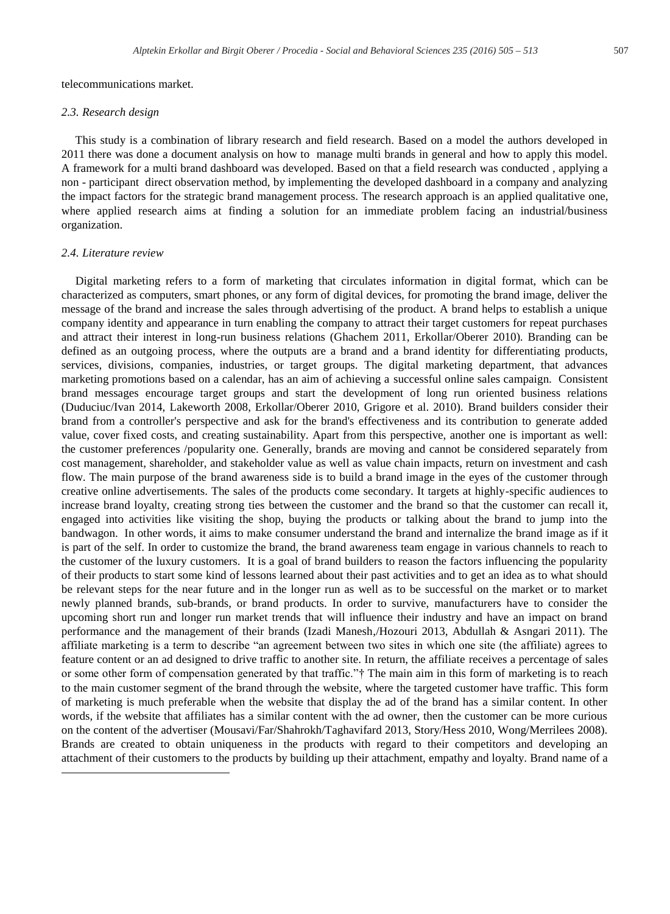telecommunications market.

### *2.3. Research design*

This study is a combination of library research and field research. Based on a model the authors developed in 2011 there was done a document analysis on how to manage multi brands in general and how to apply this model. A framework for a multi brand dashboard was developed. Based on that a field research was conducted , applying a non - participant direct observation method, by implementing the developed dashboard in a company and analyzing the impact factors for the strategic brand management process. The research approach is an applied qualitative one, where applied research aims at finding a solution for an immediate problem facing an industrial/business organization.

#### *2.4. Literature review*

 $\overline{a}$ 

Digital marketing refers to a form of marketing that circulates information in digital format, which can be characterized as computers, smart phones, or any form of digital devices, for promoting the brand image, deliver the message of the brand and increase the sales through advertising of the product. A brand helps to establish a unique company identity and appearance in turn enabling the company to attract their target customers for repeat purchases and attract their interest in long-run business relations (Ghachem 2011, Erkollar/Oberer 2010). Branding can be defined as an outgoing process, where the outputs are a brand and a brand identity for differentiating products, services, divisions, companies, industries, or target groups. The digital marketing department, that advances marketing promotions based on a calendar, has an aim of achieving a successful online sales campaign. Consistent brand messages encourage target groups and start the development of long run oriented business relations (Duduciuc/Ivan 2014, Lakeworth 2008, Erkollar/Oberer 2010, Grigore et al. 2010). Brand builders consider their brand from a controller's perspective and ask for the brand's effectiveness and its contribution to generate added value, cover fixed costs, and creating sustainability. Apart from this perspective, another one is important as well: the customer preferences /popularity one. Generally, brands are moving and cannot be considered separately from cost management, shareholder, and stakeholder value as well as value chain impacts, return on investment and cash flow. The main purpose of the brand awareness side is to build a brand image in the eyes of the customer through creative online advertisements. The sales of the products come secondary. It targets at highly-specific audiences to increase brand loyalty, creating strong ties between the customer and the brand so that the customer can recall it, engaged into activities like visiting the shop, buying the products or talking about the brand to jump into the bandwagon. In other words, it aims to make consumer understand the brand and internalize the brand image as if it is part of the self. In order to customize the brand, the brand awareness team engage in various channels to reach to the customer of the luxury customers. It is a goal of brand builders to reason the factors influencing the popularity of their products to start some kind of lessons learned about their past activities and to get an idea as to what should be relevant steps for the near future and in the longer run as well as to be successful on the market or to market newly planned brands, sub-brands, or brand products. In order to survive, manufacturers have to consider the upcoming short run and longer run market trends that will influence their industry and have an impact on brand performance and the management of their brands (Izadi Manesh,/Hozouri 2013, Abdullah & Asngari 2011). The affiliate marketing is a term to describe "an agreement between two sites in which one site (the affiliate) agrees to feature content or an ad designed to drive traffic to another site. In return, the affiliate receives a percentage of sales or some other form of compensation generated by that traffic."† The main aim in this form of marketing is to reach to the main customer segment of the brand through the website, where the targeted customer have traffic. This form of marketing is much preferable when the website that display the ad of the brand has a similar content. In other words, if the website that affiliates has a similar content with the ad owner, then the customer can be more curious on the content of the advertiser (Mousavi/Far/Shahrokh/Taghavifard 2013, Story/Hess 2010, Wong/Merrilees 2008). Brands are created to obtain uniqueness in the products with regard to their competitors and developing an attachment of their customers to the products by building up their attachment, empathy and loyalty. Brand name of a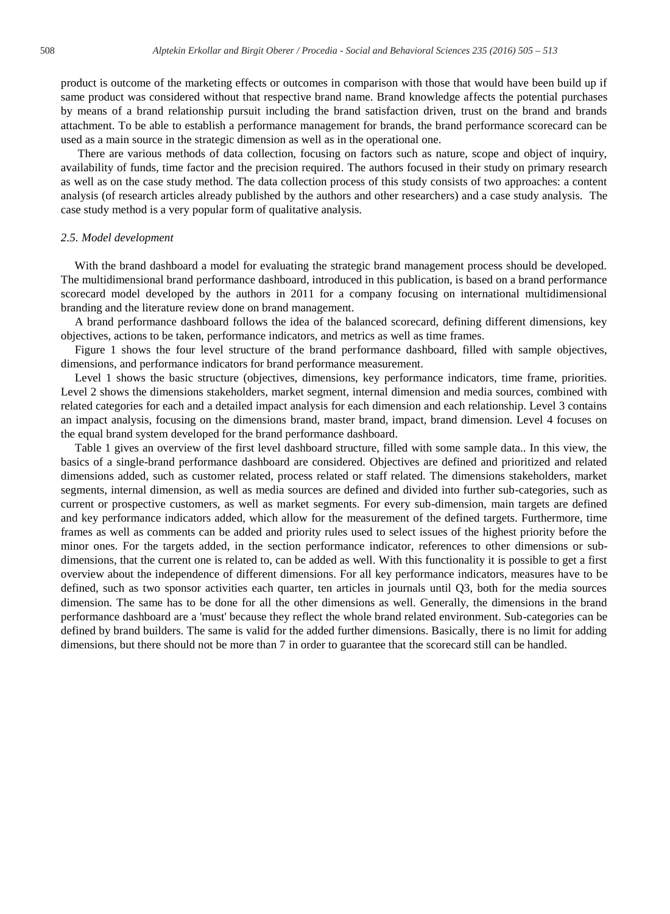product is outcome of the marketing effects or outcomes in comparison with those that would have been build up if same product was considered without that respective brand name. Brand knowledge affects the potential purchases by means of a brand relationship pursuit including the brand satisfaction driven, trust on the brand and brands attachment. To be able to establish a performance management for brands, the brand performance scorecard can be used as a main source in the strategic dimension as well as in the operational one.

There are various methods of data collection, focusing on factors such as nature, scope and object of inquiry, availability of funds, time factor and the precision required. The authors focused in their study on primary research as well as on the case study method. The data collection process of this study consists of two approaches: a content analysis (of research articles already published by the authors and other researchers) and a case study analysis. The case study method is a very popular form of qualitative analysis.

#### *2.5. Model development*

With the brand dashboard a model for evaluating the strategic brand management process should be developed. The multidimensional brand performance dashboard, introduced in this publication, is based on a brand performance scorecard model developed by the authors in 2011 for a company focusing on international multidimensional branding and the literature review done on brand management.

A brand performance dashboard follows the idea of the balanced scorecard, defining different dimensions, key objectives, actions to be taken, performance indicators, and metrics as well as time frames.

Figure 1 shows the four level structure of the brand performance dashboard, filled with sample objectives, dimensions, and performance indicators for brand performance measurement.

Level 1 shows the basic structure (objectives, dimensions, key performance indicators, time frame, priorities. Level 2 shows the dimensions stakeholders, market segment, internal dimension and media sources, combined with related categories for each and a detailed impact analysis for each dimension and each relationship. Level 3 contains an impact analysis, focusing on the dimensions brand, master brand, impact, brand dimension. Level 4 focuses on the equal brand system developed for the brand performance dashboard.

Table 1 gives an overview of the first level dashboard structure, filled with some sample data.. In this view, the basics of a single-brand performance dashboard are considered. Objectives are defined and prioritized and related dimensions added, such as customer related, process related or staff related. The dimensions stakeholders, market segments, internal dimension, as well as media sources are defined and divided into further sub-categories, such as current or prospective customers, as well as market segments. For every sub-dimension, main targets are defined and key performance indicators added, which allow for the measurement of the defined targets. Furthermore, time frames as well as comments can be added and priority rules used to select issues of the highest priority before the minor ones. For the targets added, in the section performance indicator, references to other dimensions or subdimensions, that the current one is related to, can be added as well. With this functionality it is possible to get a first overview about the independence of different dimensions. For all key performance indicators, measures have to be defined, such as two sponsor activities each quarter, ten articles in journals until Q3, both for the media sources dimension. The same has to be done for all the other dimensions as well. Generally, the dimensions in the brand performance dashboard are a 'must' because they reflect the whole brand related environment. Sub-categories can be defined by brand builders. The same is valid for the added further dimensions. Basically, there is no limit for adding dimensions, but there should not be more than 7 in order to guarantee that the scorecard still can be handled.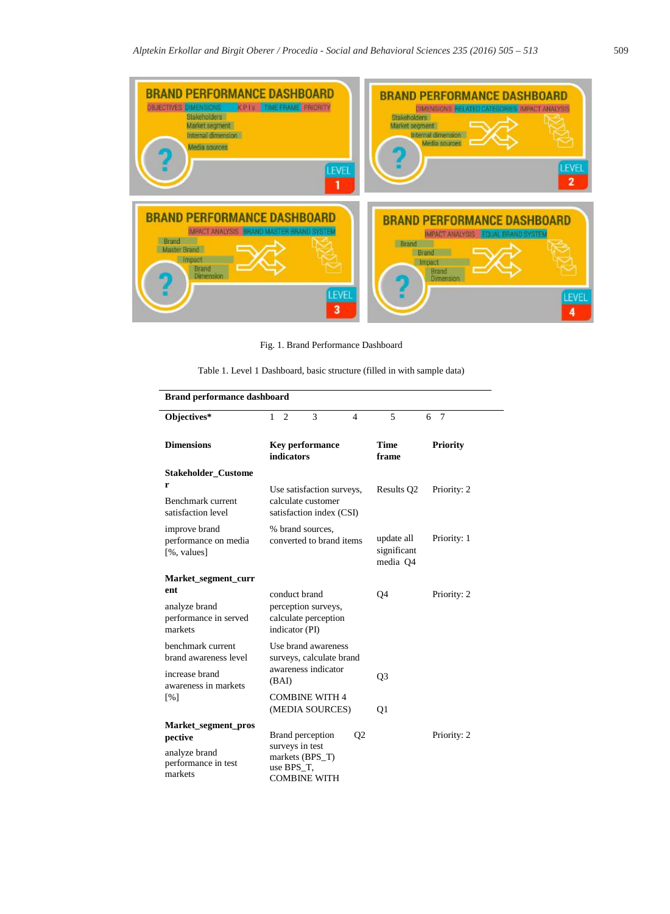

Fig. 1. Brand Performance Dashboard

| <b>Brand performance dashboard</b>                          |                                                                                |                                       |                 |
|-------------------------------------------------------------|--------------------------------------------------------------------------------|---------------------------------------|-----------------|
| Objectives*                                                 | $\mathbf{1}$<br>$\mathfrak{D}$<br>$\mathcal{R}$<br>4                           | $\overline{5}$                        | 6 7             |
| <b>Dimensions</b>                                           | <b>Key performance</b><br>indicators                                           | Time<br>frame                         | <b>Priority</b> |
| <b>Stakeholder_Custome</b><br>r                             | Use satisfaction surveys,                                                      | Results O <sub>2</sub>                | Priority: 2     |
| Benchmark current<br>satisfaction level                     | calculate customer<br>satisfaction index (CSI)                                 |                                       |                 |
| improve brand<br>performance on media<br>[%, values]        | % brand sources,<br>converted to brand items                                   | update all<br>significant<br>media Q4 | Priority: 1     |
| Market_segment_curr                                         |                                                                                |                                       |                 |
| ent<br>analyze brand<br>performance in served<br>markets    | conduct brand<br>perception surveys,<br>calculate perception<br>indicator (PI) | Q4                                    | Priority: 2     |
| benchmark current<br>brand awareness level                  | Use brand awareness<br>surveys, calculate brand                                |                                       |                 |
| increase brand<br>awareness in markets<br>$\lceil\% \rceil$ | awareness indicator<br>(BAI)                                                   | Q3                                    |                 |
|                                                             | <b>COMBINE WITH 4</b><br>(MEDIA SOURCES)                                       | Q <sub>1</sub>                        |                 |
| Market_segment_pros<br>pective                              | Brand perception<br>Q <sub>2</sub>                                             |                                       | Priority: 2     |
| analyze brand<br>performance in test<br>markets             | surveys in test<br>markets (BPS_T)<br>use BPS T.<br><b>COMBINE WITH</b>        |                                       |                 |

Table 1. Level 1 Dashboard, basic structure (filled in with sample data)

 $\overline{a}$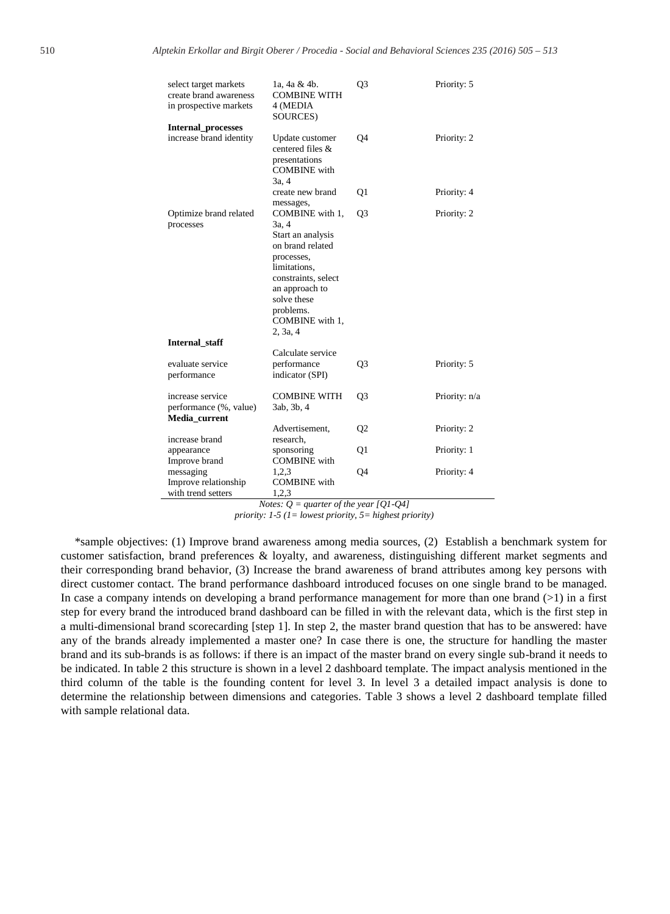| select target markets<br>create brand awareness<br>in prospective markets | 1a, 4a & 4b.<br><b>COMBINE WITH</b><br>4 (MEDIA<br>SOURCES)                                                                                                                                         | Q3             | Priority: 5   |
|---------------------------------------------------------------------------|-----------------------------------------------------------------------------------------------------------------------------------------------------------------------------------------------------|----------------|---------------|
| <b>Internal_processes</b>                                                 |                                                                                                                                                                                                     |                |               |
| increase brand identity                                                   | Update customer<br>centered files &                                                                                                                                                                 | Q4             | Priority: 2   |
|                                                                           | presentations<br><b>COMBINE</b> with<br>3a, 4                                                                                                                                                       |                |               |
|                                                                           | create new brand<br>messages,                                                                                                                                                                       | Q1             | Priority: 4   |
| Optimize brand related<br>processes<br>Internal_staff                     | COMBINE with 1,<br>3a, 4<br>Start an analysis<br>on brand related<br>processes,<br>limitations.<br>constraints, select<br>an approach to<br>solve these<br>problems.<br>COMBINE with 1.<br>2, 3a, 4 | Q3             | Priority: 2   |
| evaluate service<br>performance                                           | Calculate service<br>performance<br>indicator (SPI)                                                                                                                                                 | Q3             | Priority: 5   |
| increase service<br>performance (%, value)<br>Media_current               | <b>COMBINE WITH</b><br>3ab, 3b, 4                                                                                                                                                                   | Q3             | Priority: n/a |
| increase brand                                                            | Advertisement,<br>research.                                                                                                                                                                         | Q <sub>2</sub> | Priority: 2   |
| appearance<br>Improve brand                                               | sponsoring<br><b>COMBINE</b> with                                                                                                                                                                   | Q1             | Priority: 1   |
| messaging<br>Improve relationship<br>with trend setters                   | 1,2,3<br><b>COMBINE</b> with<br>1,2,3                                                                                                                                                               | Q4             | Priority: 4   |

*Notes: Q = quarter of the year [Q1-Q4]*

*priority: 1-5 (1= lowest priority, 5= highest priority)*

\*sample objectives: (1) Improve brand awareness among media sources, (2) Establish a benchmark system for customer satisfaction, brand preferences & loyalty, and awareness, distinguishing different market segments and their corresponding brand behavior, (3) Increase the brand awareness of brand attributes among key persons with direct customer contact. The brand performance dashboard introduced focuses on one single brand to be managed. In case a company intends on developing a brand performance management for more than one brand  $(>1)$  in a first step for every brand the introduced brand dashboard can be filled in with the relevant data, which is the first step in a multi-dimensional brand scorecarding [step 1]. In step 2, the master brand question that has to be answered: have any of the brands already implemented a master one? In case there is one, the structure for handling the master brand and its sub-brands is as follows: if there is an impact of the master brand on every single sub-brand it needs to be indicated. In table 2 this structure is shown in a level 2 dashboard template. The impact analysis mentioned in the third column of the table is the founding content for level 3. In level 3 a detailed impact analysis is done to determine the relationship between dimensions and categories. Table 3 shows a level 2 dashboard template filled with sample relational data.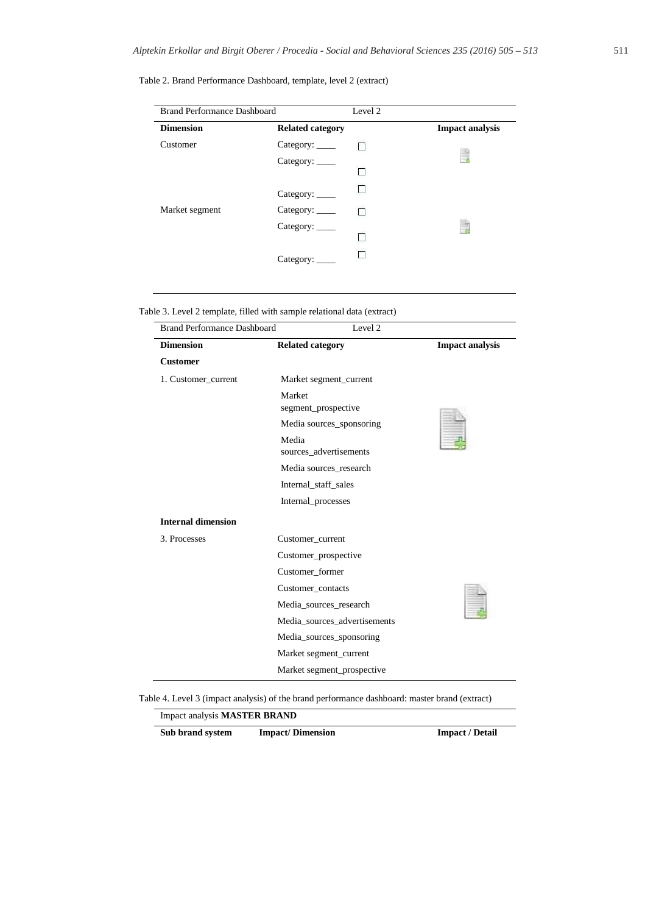# Table 2. Brand Performance Dashboard, template, level 2 (extract)

| Brand Performance Dashboard |                         | Level 2   |                        |
|-----------------------------|-------------------------|-----------|------------------------|
| <b>Dimension</b>            | <b>Related category</b> |           | <b>Impact analysis</b> |
| Customer                    | Category: $\_\_\_\_\$   | п         |                        |
|                             | Category:               |           | $\frac{1}{\mu}$        |
|                             | Category:               | $\Box$    |                        |
| Market segment              | Category:               | п         |                        |
|                             | Category:               | and and a |                        |
|                             | Category: $\_\_$        |           |                        |

Table 3. Level 2 template, filled with sample relational data (extract)

| <b>Brand Performance Dashboard</b> | Level 2                         |                        |
|------------------------------------|---------------------------------|------------------------|
| <b>Dimension</b>                   | <b>Related category</b>         | <b>Impact analysis</b> |
| <b>Customer</b>                    |                                 |                        |
| 1. Customer_current                | Market segment_current          |                        |
|                                    | Market<br>segment_prospective   |                        |
|                                    | Media sources_sponsoring        |                        |
|                                    | Media<br>sources advertisements |                        |
|                                    | Media sources research          |                        |
|                                    | Internal_staff_sales            |                        |
|                                    | Internal_processes              |                        |
| <b>Internal dimension</b>          |                                 |                        |
| 3. Processes                       | Customer_current                |                        |
|                                    | Customer_prospective            |                        |
|                                    | Customer former                 |                        |
|                                    | Customer_contacts               |                        |
|                                    | Media sources research          |                        |
|                                    | Media_sources_advertisements    |                        |
|                                    | Media_sources_sponsoring        |                        |
|                                    | Market segment_current          |                        |
|                                    | Market segment_prospective      |                        |

Table 4. Level 3 (impact analysis) of the brand performance dashboard: master brand (extract)

|  | Impact analysis <b>MASTER BRAND</b> |
|--|-------------------------------------|
|--|-------------------------------------|

| Sub brand system | <b>Impact/Dimension</b> | <b>Impact / Detail</b> |
|------------------|-------------------------|------------------------|
|                  |                         |                        |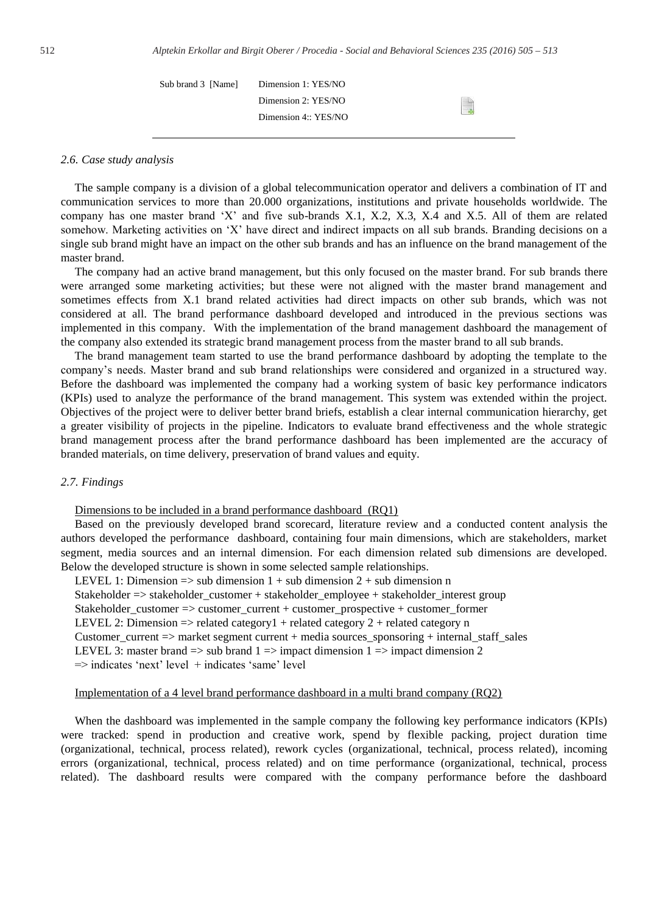| Sub brand 3 [Name] | Dimension 1: YES/NO  |    |
|--------------------|----------------------|----|
|                    | Dimension 2: YES/NO  | L. |
|                    | Dimension 4:: YES/NO |    |
|                    |                      |    |

#### *2.6. Case study analysis*

The sample company is a division of a global telecommunication operator and delivers a combination of IT and communication services to more than 20.000 organizations, institutions and private households worldwide. The company has one master brand 'X' and five sub-brands X.1, X.2, X.3, X.4 and X.5. All of them are related somehow. Marketing activities on 'X' have direct and indirect impacts on all sub brands. Branding decisions on a single sub brand might have an impact on the other sub brands and has an influence on the brand management of the master brand.

The company had an active brand management, but this only focused on the master brand. For sub brands there were arranged some marketing activities; but these were not aligned with the master brand management and sometimes effects from X.1 brand related activities had direct impacts on other sub brands, which was not considered at all. The brand performance dashboard developed and introduced in the previous sections was implemented in this company. With the implementation of the brand management dashboard the management of the company also extended its strategic brand management process from the master brand to all sub brands.

The brand management team started to use the brand performance dashboard by adopting the template to the company's needs. Master brand and sub brand relationships were considered and organized in a structured way. Before the dashboard was implemented the company had a working system of basic key performance indicators (KPIs) used to analyze the performance of the brand management. This system was extended within the project. Objectives of the project were to deliver better brand briefs, establish a clear internal communication hierarchy, get a greater visibility of projects in the pipeline. Indicators to evaluate brand effectiveness and the whole strategic brand management process after the brand performance dashboard has been implemented are the accuracy of branded materials, on time delivery, preservation of brand values and equity.

#### *2.7. Findings*

Dimensions to be included in a brand performance dashboard (RQ1)

Based on the previously developed brand scorecard, literature review and a conducted content analysis the authors developed the performance dashboard, containing four main dimensions, which are stakeholders, market segment, media sources and an internal dimension. For each dimension related sub dimensions are developed. Below the developed structure is shown in some selected sample relationships.

LEVEL 1: Dimension  $\Rightarrow$  sub dimension  $1 +$  sub dimension  $2 +$  sub dimension n Stakeholder  $\equiv$  > stakeholder customer + stakeholder employee + stakeholder interest group Stakeholder\_customer => customer\_current + customer\_prospective + customer\_former LEVEL 2: Dimension  $\Rightarrow$  related category1 + related category 2 + related category n Customer\_current => market segment current + media sources\_sponsoring + internal\_staff\_sales LEVEL 3: master brand  $\Rightarrow$  sub brand  $1 \Rightarrow$  impact dimension  $1 \Rightarrow$  impact dimension 2  $\Rightarrow$  indicates 'next' level  $+$  indicates 'same' level

#### Implementation of a 4 level brand performance dashboard in a multi brand company (RQ2)

When the dashboard was implemented in the sample company the following key performance indicators (KPIs) were tracked: spend in production and creative work, spend by flexible packing, project duration time (organizational, technical, process related), rework cycles (organizational, technical, process related), incoming errors (organizational, technical, process related) and on time performance (organizational, technical, process related). The dashboard results were compared with the company performance before the dashboard